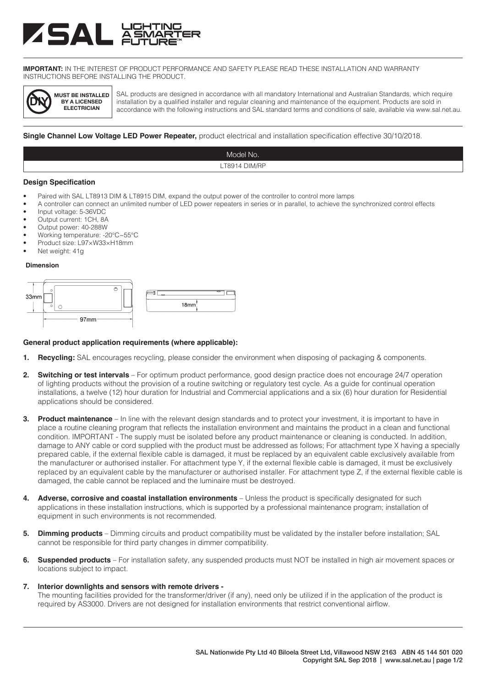# **ASAL**

**IMPORTANT:** IN THE INTEREST OF PRODUCT PERFORMANCE AND SAFETY PLEASE READ THESE INSTALLATION AND WARRANTY INSTRUCTIONS BEFORE INSTALLING THE PRODUCT.



SAL products are designed in accordance with all mandatory International and Australian Standards, which require installation by a qualified installer and regular cleaning and maintenance of the equipment. Products are sold in accordance with the following instructions and SAL standard terms and conditions of sale, available via www.sal.net.au.

**Single Channel Low Voltage LED Power Repeater,** product electrical and installation specification effective 30/10/2018.

| Model No.     |  |
|---------------|--|
| LT8914 DIM/RP |  |

#### **Design Specification**

- Paired with SAL LT8913 DIM & LT8915 DIM, expand the output power of the controller to control more lamps
- A controller can connect an unlimited number of LED power repeaters in series or in parallel, to achieve the synchronized control effects
- Input voltage: 5-36VDC
- Output current: 1CH, 8A
- Output power: 40-288W
- Working temperature: -20℃~55℃
- Product size: L97×W33×H18mm
- Net weight: 41g

#### **Dimension**



#### **General product application requirements (where applicable):**

- **1. Recycling:** SAL encourages recycling, please consider the environment when disposing of packaging & components.
- **2. Switching or test intervals** For optimum product performance, good design practice does not encourage 24/7 operation of lighting products without the provision of a routine switching or regulatory test cycle. As a guide for continual operation installations, a twelve (12) hour duration for Industrial and Commercial applications and a six (6) hour duration for Residential applications should be considered.
- **3. Product maintenance** In line with the relevant design standards and to protect your investment, it is important to have in place a routine cleaning program that reflects the installation environment and maintains the product in a clean and functional condition. IMPORTANT - The supply must be isolated before any product maintenance or cleaning is conducted. In addition, damage to ANY cable or cord supplied with the product must be addressed as follows; For attachment type X having a specially prepared cable, if the external flexible cable is damaged, it must be replaced by an equivalent cable exclusively available from the manufacturer or authorised installer. For attachment type Y, if the external flexible cable is damaged, it must be exclusively replaced by an equivalent cable by the manufacturer or authorised installer. For attachment type Z, if the external flexible cable is damaged, the cable cannot be replaced and the luminaire must be destroyed.
- **4. Adverse, corrosive and coastal installation environments** Unless the product is specifically designated for such applications in these installation instructions, which is supported by a professional maintenance program; installation of equipment in such environments is not recommended.
- **5. Dimming products** Dimming circuits and product compatibility must be validated by the installer before installation; SAL cannot be responsible for third party changes in dimmer compatibility.
- **6. Suspended products** For installation safety, any suspended products must NOT be installed in high air movement spaces or locations subject to impact.
- **7. Interior downlights and sensors with remote drivers -**

The mounting facilities provided for the transformer/driver (if any), need only be utilized if in the application of the product is required by AS3000. Drivers are not designed for installation environments that restrict conventional airflow.